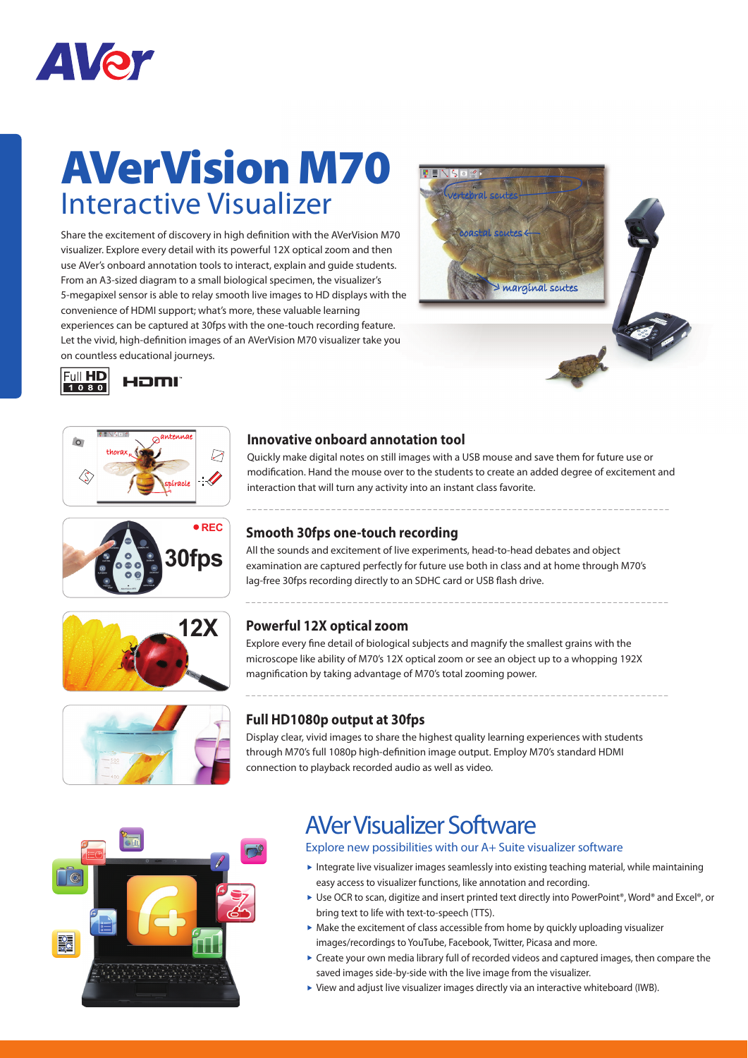

# **AVerVision M70** Interactive Visualizer

Share the excitement of discovery in high definition with the AVerVision M70 visualizer. Explore every detail with its powerful 12X optical zoom and then use AVer's onboard annotation tools to interact, explain and guide students. From an A3-sized diagram to a small biological specimen, the visualizer's 5-megapixel sensor is able to relay smooth live images to HD displays with the convenience of HDMI support; what's more, these valuable learning experiences can be captured at 30fps with the one-touch recording feature. Let the vivid, high-definition images of an AVerVision M70 visualizer take you on countless educational journeys.















### **Innovative onboard annotation tool**

Quickly make digital notes on still images with a USB mouse and save them for future use or modification. Hand the mouse over to the students to create an added degree of excitement and interaction that will turn any activity into an instant class favorite.

#### **Smooth 30fps one-touch recording**

All the sounds and excitement of live experiments, head-to-head debates and object examination are captured perfectly for future use both in class and at home through M70's lag-free 30fps recording directly to an SDHC card or USB flash drive.

#### **Powerful 12X optical zoom**

Explore every fine detail of biological subjects and magnify the smallest grains with the microscope like ability of M70's 12X optical zoom or see an object up to a whopping 192X magnification by taking advantage of M70's total zooming power.

#### **Full HD1080p output at 30fps**

Display clear, vivid images to share the highest quality learning experiences with students through M70's full 1080p high-definition image output. Employ M70's standard HDMI connection to playback recorded audio as well as video.



### AVer Visualizer Software

Explore new possibilities with our A+ Suite visualizer software

- Integrate live visualizer images seamlessly into existing teaching material, while maintaining easy access to visualizer functions, like annotation and recording.
- ▶ Use OCR to scan, digitize and insert printed text directly into PowerPoint®, Word® and Excel®, or bring text to life with text-to-speech (TTS).
- $\triangleright$  Make the excitement of class accessible from home by quickly uploading visualizer images/recordings to YouTube, Facebook, Twitter, Picasa and more.
- Create your own media library full of recorded videos and captured images, then compare the saved images side-by-side with the live image from the visualizer.
- View and adjust live visualizer images directly via an interactive whiteboard (IWB).